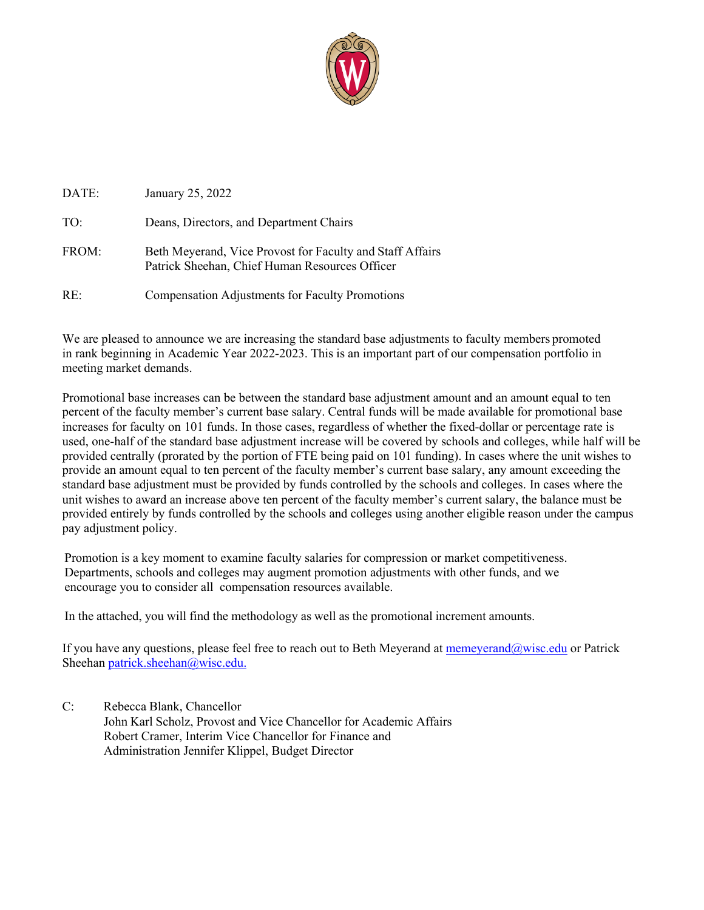

| DATE: | January 25, 2022                                                                                            |
|-------|-------------------------------------------------------------------------------------------------------------|
| TO:   | Deans, Directors, and Department Chairs                                                                     |
| FROM: | Beth Meyerand, Vice Provost for Faculty and Staff Affairs<br>Patrick Sheehan, Chief Human Resources Officer |
| RE:   | <b>Compensation Adjustments for Faculty Promotions</b>                                                      |

We are pleased to announce we are increasing the standard base adjustments to faculty members promoted in rank beginning in Academic Year 2022-2023. This is an important part of our compensation portfolio in meeting market demands.

Promotional base increases can be between the standard base adjustment amount and an amount equal to ten percent of the faculty member's current base salary. Central funds will be made available for promotional base increases for faculty on 101 funds. In those cases, regardless of whether the fixed-dollar or percentage rate is used, one-half of the standard base adjustment increase will be covered by schools and colleges, while half will be provided centrally (prorated by the portion of FTE being paid on 101 funding). In cases where the unit wishes to provide an amount equal to ten percent of the faculty member's current base salary, any amount exceeding the standard base adjustment must be provided by funds controlled by the schools and colleges. In cases where the unit wishes to award an increase above ten percent of the faculty member's current salary, the balance must be provided entirely by funds controlled by the schools and colleges using another eligible reason under the campus pay adjustment policy.

Promotion is a key moment to examine faculty salaries for compression or market competitiveness. Departments, schools and colleges may augment promotion adjustments with other funds, and we encourage you to consider all compensation resources available.

In the attached, you will find the methodology as well as the promotional increment amounts.

If you have any questions, please feel free to reach out to Beth Meyerand at memeyerand@wisc.edu or Patrick Sheehan patrick.sheehan@wisc.edu.

C: Rebecca Blank, Chancellor John Karl Scholz, Provost and Vice Chancellor for Academic Affairs Robert Cramer, Interim Vice Chancellor for Finance and Administration Jennifer Klippel, Budget Director